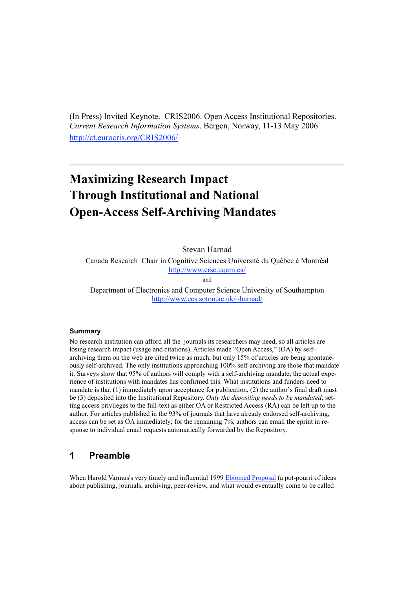(In Press) Invited Keynote. CRIS2006. Open Access Institutional Repositories. *Current Research Information Systems*. Bergen, Norway, 11-13 May 2006 http://ct.eurocris.org/CRIS2006/

# **Maximizing Research Impact Through Institutional and National Open-Access Self-Archiving Mandates**

Stevan Harnad

Canada Research Chair in Cognitive Sciences Université du Québec à Montréal http://www.crsc.uqam.ca/

and

Department of Electronics and Computer Science University of Southampton http://www.ecs.soton.ac.uk/~harnad/

#### **Summary**

No research institution can afford all the journals its researchers may need, so all articles are losing research impact (usage and citations). Articles made "Open Access," (OA) by selfarchiving them on the web are cited twice as much, but only 15% of articles are being spontaneously self-archived. The only institutions approaching 100% self-archiving are those that mandate it. Surveys show that 95% of authors will comply with a self-archiving mandate; the actual experience of institutions with mandates has confirmed this. What institutions and funders need to mandate is that (1) immediately upon acceptance for publication, (2) the author's final draft must be (3) deposited into the Institutional Repository. *Only the depositing needs to be mandated*; setting access privileges to the full-text as either OA or Restricted Access (RA) can be left up to the author. For articles published in the 93% of journals that have already endorsed self-archiving, access can be set as OA immediately; for the remaining 7%, authors can email the eprint in response to individual email requests automatically forwarded by the Repository.

# **1 Preamble**

When Harold Varmus's very timely and influential 1999 Ebiomed Proposal (a pot-pourri of ideas about publishing, journals, archiving, peer-review, and what would eventually come to be called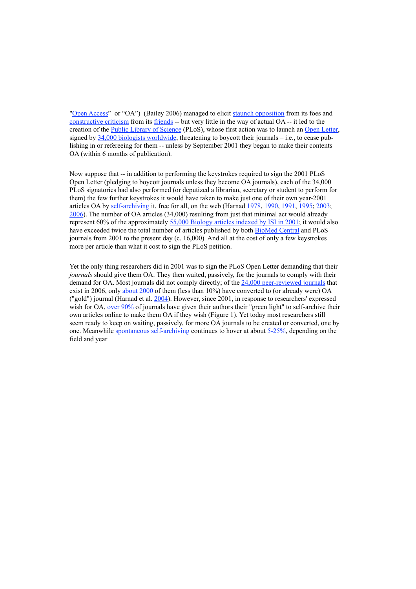"Open Access" or "OA") (Bailey 2006) managed to elicit staunch opposition from its foes and constructive criticism from its friends -- but very little in the way of actual OA -- it led to the creation of the Public Library of Science (PLoS), whose first action was to launch an Open Letter, signed by 34,000 biologists worldwide, threatening to boycott their journals – i.e., to cease publishing in or refereeing for them -- unless by September 2001 they began to make their contents OA (within 6 months of publication).

Now suppose that -- in addition to performing the keystrokes required to sign the 2001 PLoS Open Letter (pledging to boycott journals unless they become OA journals), each of the 34,000 PLoS signatories had also performed (or deputized a librarian, secretary or student to perform for them) the few further keystrokes it would have taken to make just one of their own year-2001 articles OA by self-archiving it, free for all, on the web (Harnad 1978, 1990, 1991, 1995; 2003; 2006). The number of OA articles (34,000) resulting from just that minimal act would already represent 60% of the approximately 55,000 Biology articles indexed by ISI in 2001; it would also have exceeded twice the total number of articles published by both BioMed Central and PLoS journals from 2001 to the present day (c. 16,000) And all at the cost of only a few keystrokes more per article than what it cost to sign the PLoS petition.

Yet the only thing researchers did in 2001 was to sign the PLoS Open Letter demanding that their *journals* should give them OA. They then waited, passively, for the journals to comply with their demand for OA. Most journals did not comply directly; of the 24,000 peer-reviewed journals that exist in 2006, only about 2000 of them (less than 10%) have converted to (or already were) OA ("gold") journal (Harnad et al. 2004). However, since 2001, in response to researchers' expressed wish for OA, over 90% of journals have given their authors their "green light" to self-archive their own articles online to make them OA if they wish (Figure 1). Yet today most researchers still seem ready to keep on waiting, passively, for more OA journals to be created or converted, one by one. Meanwhile spontaneous self-archiving continues to hover at about 5-25%, depending on the field and year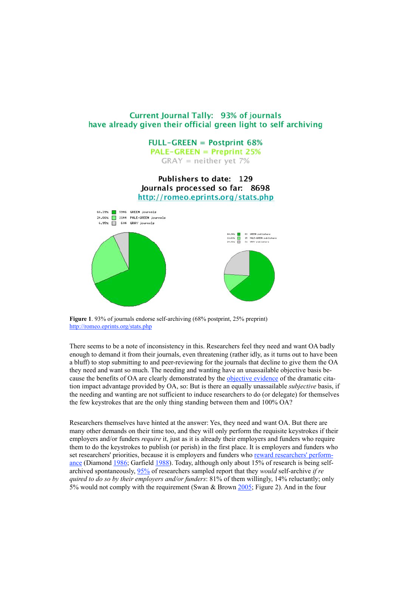#### Current Journal Tally: 93% of journals have already given their official green light to self archiving

**FULL-GREEN = Postprint 68% PALE-GREEN = Preprint 25%** 

 $GRAY = neither yet 7%$ 

Publishers to date: 129 Journals processed so far: 8698 http://romeo.eprints.org/stats.php



**Figure 1.** 93% of journals endorse self-archiving (68% postprint, 25% preprint) http://romeo.eprints.org/stats.php

There seems to be a note of inconsistency in this. Researchers feel they need and want OA badly enough to demand it from their journals, even threatening (rather idly, as it turns out to have been a bluff) to stop submitting to and peer-reviewing for the journals that decline to give them the OA they need and want so much. The needing and wanting have an unassailable objective basis because the benefits of OA are clearly demonstrated by the objective evidence of the dramatic citation impact advantage provided by OA, so: But is there an equally unassailable *subjective* basis, if the needing and wanting are not sufficient to induce researchers to do (or delegate) for themselves the few keystrokes that are the only thing standing between them and 100% OA?

Researchers themselves have hinted at the answer: Yes, they need and want OA. But there are many other demands on their time too, and they will only perform the requisite keystrokes if their employers and/or funders *require* it, just as it is already their employers and funders who require them to do the keystrokes to publish (or perish) in the first place. It is employers and funders who set researchers' priorities, because it is employers and funders who reward researchers' performance (Diamond 1986; Garfield 1988). Today, although only about 15% of research is being selfarchived spontaneously, 95% of researchers sampled report that they *would* self-archive *if re quired to do so by their employers and/or funders*: 81% of them willingly, 14% reluctantly; only 5% would not comply with the requirement (Swan & Brown 2005; Figure 2). And in the four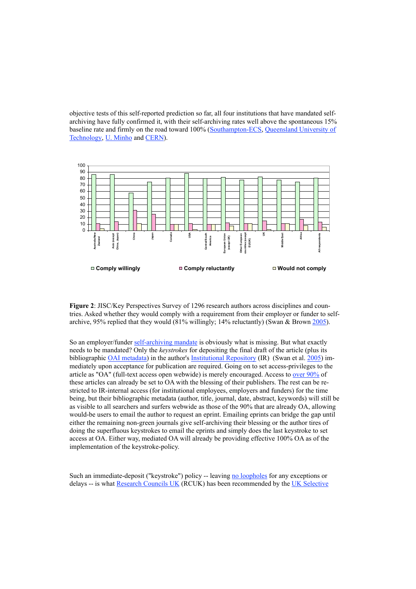objective tests of this self-reported prediction so far, all four institutions that have mandated selfarchiving have fully confirmed it, with their self-archiving rates well above the spontaneous 15% baseline rate and firmly on the road toward 100% (Southampton-ECS, Queensland University of Technology, U. Minho and CERN).



**Figure 2**: JISC/Key Perspectives Survey of 1296 research authors across disciplines and countries. Asked whether they would comply with a requirement from their employer or funder to selfarchive, 95% replied that they would (81% willingly; 14% reluctantly) (Swan & Brown 2005).

So an employer/funder self-archiving mandate is obviously what is missing. But what exactly needs to be mandated? Only the *keystrokes* for depositing the final draft of the article (plus its bibliographic OAI metadata) in the author's Institutional Repository (IR) (Swan et al. 2005) immediately upon acceptance for publication are required. Going on to set access-privileges to the article as "OA" (full-text access open webwide) is merely encouraged. Access to over 90% of these articles can already be set to OA with the blessing of their publishers. The rest can be restricted to IR-internal access (for institutional employees, employers and funders) for the time being, but their bibliographic metadata (author, title, journal, date, abstract, keywords) will still be as visible to all searchers and surfers webwide as those of the 90% that are already OA, allowing would-be users to email the author to request an eprint. Emailing eprints can bridge the gap until either the remaining non-green journals give self-archiving their blessing or the author tires of doing the superfluous keystrokes to email the eprints and simply does the last keystroke to set access at OA. Either way, mediated OA will already be providing effective 100% OA as of the implementation of the keystroke-policy.

Such an immediate-deposit ("keystroke") policy -- leaving no loopholes for any exceptions or delays -- is what Research Councils UK (RCUK) has been recommended by the UK Selective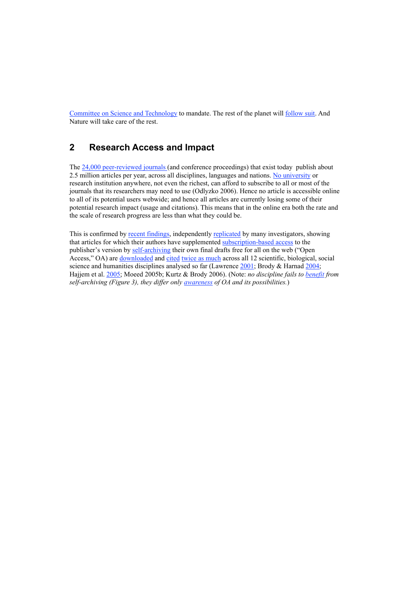Committee on Science and Technology to mandate. The rest of the planet will follow suit. And Nature will take care of the rest.

# **2 Research Access and Impact**

The 24,000 peer-reviewed journals (and conference proceedings) that exist today publish about 2.5 million articles per year, across all disciplines, languages and nations. No university or research institution anywhere, not even the richest, can afford to subscribe to all or most of the journals that its researchers may need to use (Odlyzko 2006). Hence no article is accessible online to all of its potential users webwide; and hence all articles are currently losing some of their potential research impact (usage and citations). This means that in the online era both the rate and the scale of research progress are less than what they could be.

This is confirmed by recent findings, independently replicated by many investigators, showing that articles for which their authors have supplemented subscription-based access to the publisher's version by self-archiving their own final drafts free for all on the web ("Open Access," OA) are downloaded and cited twice as much across all 12 scientific, biological, social science and humanities disciplines analysed so far (Lawrence 2001; Brody & Harnad 2004; Hajjem et al. 2005; Moeed 2005b; Kurtz & Brody 2006). (Note: *no discipline fails to benefit from self-archiving (Figure 3), they differ only awareness of OA and its possibilities.*)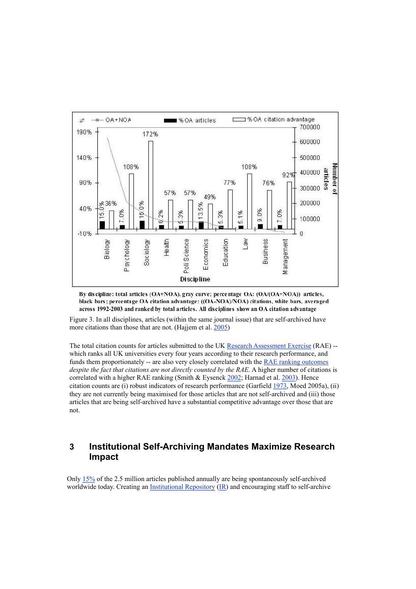

By discipline: total articles (OA+NOA), gray curve; percentage OA: (OA/(OA+NOA)) articles, black bars; percentage OA citation advantage: ((OA-NOA)/NOA) citations, white bars, averaged across 1992-2003 and ranked by total articles. All disciplines show an OA citation advantage

Figure 3. In all disciplines, articles (within the same journal issue) that are self-archived have more citations than those that are not. (Hajjem et al. 2005)

The total citation counts for articles submitted to the UK Research Assessment Exercise (RAE) -which ranks all UK universities every four years according to their research performance, and funds them proportionately -- are also very closely correlated with the **RAE ranking outcomes** *despite the fact that citations are not directly counted by the RAE*. A higher number of citations is correlated with a higher RAE ranking (Smith & Eysenck 2002; Harnad et al. 2003). Hence citation counts are (i) robust indicators of research performance (Garfield 1973, Moed 2005a), (ii) they are not currently being maximised for those articles that are not self-archived and (iii) those articles that are being self-archived have a substantial competitive advantage over those that are not.

#### **3 Institutional Self-Archiving Mandates Maximize Research Impact**

Only 15% of the 2.5 million articles published annually are being spontaneously self-archived worldwide today. Creating an Institutional Repository (IR) and encouraging staff to self-archive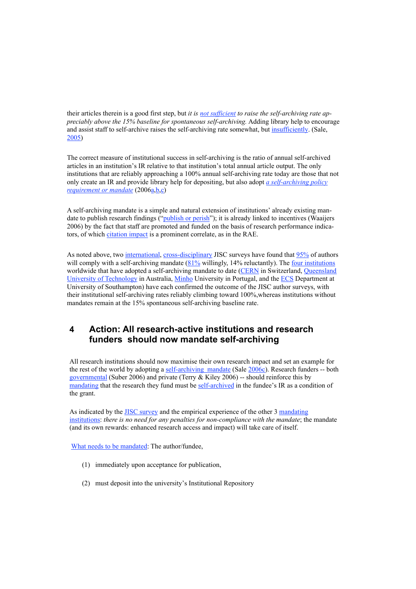their articles therein is a good first step, but *it is not sufficient to raise the self-archiving rate appreciably above the 15% baseline for spontaneous self-archiving.* Adding library help to encourage and assist staff to self-archive raises the self-archiving rate somewhat, but insufficiently. (Sale, 2005)

The correct measure of institutional success in self-archiving is the ratio of annual self-archived articles in an institution's IR relative to that institution's total annual article output. The only institutions that are reliably approaching a 100% annual self-archiving rate today are those that not only create an IR and provide library help for depositing, but also adopt *a self-archiving policy requirement or mandate* (2006a,b,c)

A self-archiving mandate is a simple and natural extension of institutions' already existing mandate to publish research findings ("*publish or perish*"); it is already linked to incentives (Waaijers 2006) by the fact that staff are promoted and funded on the basis of research performance indicators, of which citation impact is a prominent correlate, as in the RAE.

As noted above, two international, cross-disciplinary JISC surveys have found that 95% of authors will comply with a self-archiving mandate (81% willingly, 14% reluctantly). The four institutions worldwide that have adopted a self-archiving mandate to date (CERN in Switzerland, Queensland University of Technology in Australia, Minho University in Portugal, and the ECS Department at University of Southampton) have each confirmed the outcome of the JISC author surveys, with their institutional self-archiving rates reliably climbing toward 100%,whereas institutions without mandates remain at the 15% spontaneous self-archiving baseline rate.

# **4 Action: All research-active institutions and research funders should now mandate self-archiving**

All research institutions should now maximise their own research impact and set an example for the rest of the world by adopting a self-archiving mandate (Sale 2006c). Research funders -- both governmental (Suber 2006) and private (Terry & Kiley 2006) -- should reinforce this by mandating that the research they fund must be self-archived in the fundee's IR as a condition of the grant.

As indicated by the JISC survey and the empirical experience of the other 3 mandating institutions: *there is no need for any penalties for non-compliance with the mandate*; the mandate (and its own rewards: enhanced research access and impact) will take care of itself.

What needs to be mandated: The author/fundee,

- (1) immediately upon acceptance for publication,
- (2) must deposit into the university's Institutional Repository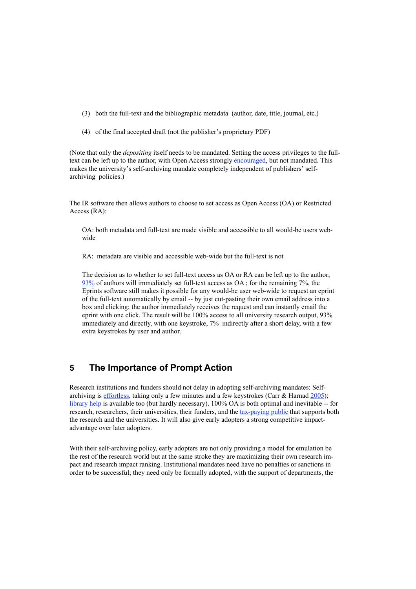- (3) both the full-text and the bibliographic metadata (author, date, title, journal, etc.)
- (4) of the final accepted draft (not the publisher's proprietary PDF)

(Note that only the *depositing* itself needs to be mandated. Setting the access privileges to the fulltext can be left up to the author, with Open Access strongly encouraged, but not mandated. This makes the university's self-archiving mandate completely independent of publishers' selfarchiving policies.)

The IR software then allows authors to choose to set access as Open Access (OA) or Restricted Access (RA):

OA: both metadata and full-text are made visible and accessible to all would-be users webwide

RA: metadata are visible and accessible web-wide but the full-text is not

The decision as to whether to set full-text access as OA or RA can be left up to the author; 93% of authors will immediately set full-text access as OA ; for the remaining 7%, the Eprints software still makes it possible for any would-be user web-wide to request an eprint of the full-text automatically by email -- by just cut-pasting their own email address into a box and clicking; the author immediately receives the request and can instantly email the eprint with one click. The result will be 100% access to all university research output, 93% immediately and directly, with one keystroke, 7% indirectly after a short delay, with a few extra keystrokes by user and author.

## **5 The Importance of Prompt Action**

Research institutions and funders should not delay in adopting self-archiving mandates: Selfarchiving is effortless, taking only a few minutes and a few keystrokes (Carr  $&$  Harnad 2005); library help is available too (but hardly necessary). 100% OA is both optimal and inevitable -- for research, researchers, their universities, their funders, and the tax-paying public that supports both the research and the universities. It will also give early adopters a strong competitive impactadvantage over later adopters.

With their self-archiving policy, early adopters are not only providing a model for emulation be the rest of the research world but at the same stroke they are maximizing their own research impact and research impact ranking. Institutional mandates need have no penalties or sanctions in order to be successful; they need only be formally adopted, with the support of departments, the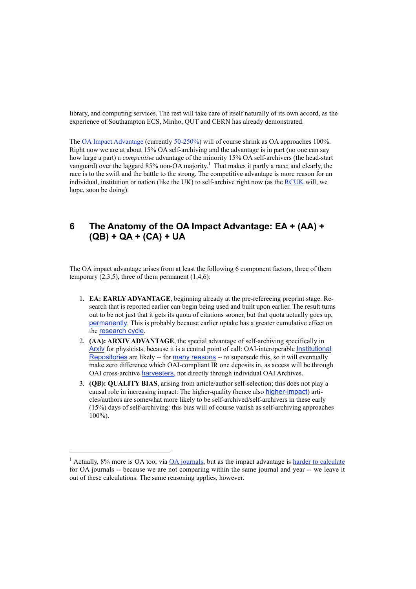library, and computing services. The rest will take care of itself naturally of its own accord, as the experience of Southampton ECS, Minho, QUT and CERN has already demonstrated.

The OA Impact Advantage (currently 50-250%) will of course shrink as OA approaches 100%. Right now we are at about 15% OA self-archiving and the advantage is in part (no one can say how large a part) a *competitive* advantage of the minority 15% OA self-archivers (the head-start vanguard) over the laggard 85% non-OA majority.<sup>1</sup> That makes it partly a race; and clearly, the race is to the swift and the battle to the strong. The competitive advantage is more reason for an individual, institution or nation (like the UK) to self-archive right now (as the RCUK will, we hope, soon be doing).

# **6 The Anatomy of the OA Impact Advantage: EA + (AA) + (QB) + QA + (CA) + UA**

The OA impact advantage arises from at least the following 6 component factors, three of them temporary  $(2,3,5)$ , three of them permanent  $(1,4,6)$ :

- 1. **EA: EARLY ADVANTAGE**, beginning already at the pre-refereeing preprint stage. Research that is reported earlier can begin being used and built upon earlier. The result turns out to be not just that it gets its quota of citations sooner, but that quota actually goes up, permanently. This is probably because earlier uptake has a greater cumulative effect on the research cycle.
- 2. **(AA): ARXIV ADVANTAGE**, the special advantage of self-archiving specifically in Arxiv for physicists, because it is a central point of call: OAI-interoperable Institutional Repositories are likely -- for many reasons -- to supersede this, so it will eventually make zero difference which OAI-compliant IR one deposits in, as access will be through OAI cross-archive harvesters, not directly through individual OAI Archives.
- 3. **(QB): QUALITY BIAS**, arising from article/author self-selection; this does not play a causal role in increasing impact: The higher-quality (hence also higher-impact) articles/authors are somewhat more likely to be self-archived/self-archivers in these early (15%) days of self-archiving: this bias will of course vanish as self-archiving approaches 100%).

 $\overline{a}$ 

 $1$  Actually, 8% more is OA too, via  $\overline{OA}$  journals, but as the impact advantage is harder to calculate for OA journals -- because we are not comparing within the same journal and year -- we leave it out of these calculations. The same reasoning applies, however.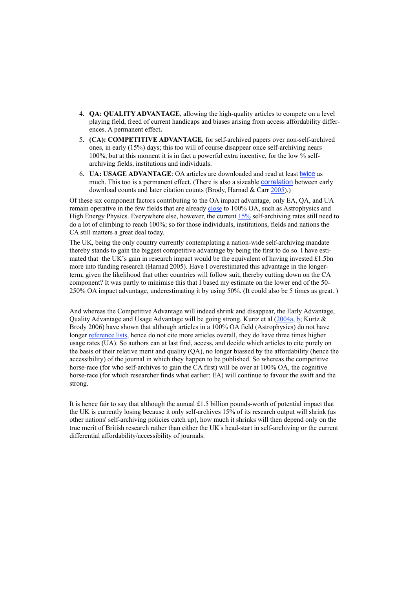- 4. **QA: QUALITY ADVANTAGE**, allowing the high-quality articles to compete on a level playing field, freed of current handicaps and biases arising from access affordability differences. A permanent effect**.**
- 5. **(CA): COMPETITIVE ADVANTAGE**, for self-archived papers over non-self-archived ones, in early (15%) days; this too will of course disappear once self-archiving nears 100%, but at this moment it is in fact a powerful extra incentive, for the low % selfarchiving fields, institutions and individuals.
- 6. **UA: USAGE ADVANTAGE**: OA articles are downloaded and read at least twice as much. This too is a permanent effect. (There is also a sizeable correlation between early download counts and later citation counts (Brody, Harnad & Carr 2005).)

Of these six component factors contributing to the OA impact advantage, only EA, QA, and UA remain operative in the few fields that are already close to 100% OA, such as Astrophysics and High Energy Physics. Everywhere else, however, the current 15% self-archiving rates still need to do a lot of climbing to reach 100%; so for those individuals, institutions, fields and nations the CA still matters a great deal today.

The UK, being the only country currently contemplating a nation-wide self-archiving mandate thereby stands to gain the biggest competitive advantage by being the first to do so. I have estimated that the UK's gain in research impact would be the equivalent of having invested £1.5bn more into funding research (Harnad 2005). Have I overestimated this advantage in the longerterm, given the likelihood that other countries will follow suit, thereby cutting down on the CA component? It was partly to minimise this that I based my estimate on the lower end of the 50- 250% OA impact advantage, underestimating it by using 50%. (It could also be 5 times as great. )

And whereas the Competitive Advantage will indeed shrink and disappear, the Early Advantage, Quality Advantage and Usage Advantage will be going strong. Kurtz et al (2004a, b; Kurtz & Brody 2006) have shown that although articles in a 100% OA field (Astrophysics) do not have longer reference lists, hence do not cite more articles overall, they do have three times higher usage rates (UA). So authors can at last find, access, and decide which articles to cite purely on the basis of their relative merit and quality (QA), no longer biassed by the affordability (hence the accessibility) of the journal in which they happen to be published. So whereas the competitive horse-race (for who self-archives to gain the CA first) will be over at 100% OA, the cognitive horse-race (for which researcher finds what earlier: EA) will continue to favour the swift and the strong.

It is hence fair to say that although the annual £1.5 billion pounds-worth of potential impact that the UK is currently losing because it only self-archives 15% of its research output will shrink (as other nations' self-archiving policies catch up), how much it shrinks will then depend only on the true merit of British research rather than either the UK's head-start in self-archiving or the current differential affordability/accessibility of journals.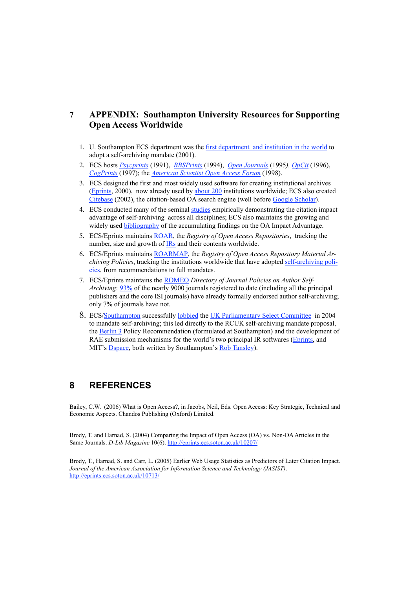## **7 APPENDIX: Southampton University Resources for Supporting Open Access Worldwide**

- 1. U. Southampton ECS department was the first department and institution in the world to adopt a self-archiving mandate (2001).
- 2. ECS hosts *Psycprints* (1991), *BBSPrints* (1994), *Open Journals* (1995*), OpCit* (1996), *CogPrints* (1997); the *American Scientist Open Access Forum* (1998).
- 3. ECS designed the first and most widely used software for creating institutional archives (Eprints, 2000), now already used by about 200 institutions worldwide; ECS also created Citebase (2002), the citation-based OA search engine (well before Google Scholar).
- 4. ECS conducted many of the seminal studies empirically demonstrating the citation impact advantage of self-archiving across all disciplines; ECS also maintains the growing and widely used **bibliography** of the accumulating findings on the OA Impact Advantage.
- 5. ECS/Eprints maintains ROAR, the *Registry of Open Access Repositories*, tracking the number, size and growth of IRs and their contents worldwide.
- 6. ECS/Eprints maintains ROARMAP, the *Registry of Open Access Repository Material Archiving Policies*, tracking the institutions worldwide that have adopted self-archiving policies, from recommendations to full mandates.
- 7. ECS/Eprints maintains the ROMEO *Directory of Journal Policies on Author Self-Archiving*: 93% of the nearly 9000 journals registered to date (including all the principal publishers and the core ISI journals) have already formally endorsed author self-archiving; only 7% of journals have not.
- 8. ECS/Southampton successfully lobbied the UK Parliamentary Select Committee in 2004 to mandate self-archiving; this led directly to the RCUK self-archiving mandate proposal, the Berlin 3 Policy Recommendation (formulated at Southampton) and the development of RAE submission mechanisms for the world's two principal IR softwares (Eprints, and MIT's Dspace, both written by Southampton's Rob Tansley).

## **8 REFERENCES**

Bailey, C.W. (2006) What is Open Access?, in Jacobs, Neil, Eds. Open Access: Key Strategic, Technical and Economic Aspects. Chandos Publishing (Oxford) Limited.

Brody, T. and Harnad, S. (2004) Comparing the Impact of Open Access (OA) vs. Non-OAArticles in the Same Journals. *D-Lib Magazine* 10(6). http://eprints.ecs.soton.ac.uk/10207/

Brody, T., Harnad, S. and Carr, L. (2005) Earlier Web Usage Statistics as Predictors of Later Citation Impact. *Journal of the American Association for Information Science and Technology (JASIST)*. http://eprints.ecs.soton.ac.uk/10713/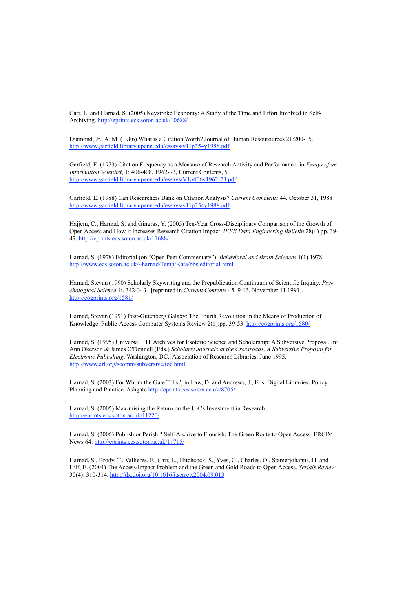Carr, L. and Harnad, S. (2005) Keystroke Economy: A Study of the Time and Effort Involved in Self-Archiving. http://eprints.ecs.soton.ac.uk/10688/

Diamond, Jr., A. M. (1986) What is a Citation Worth? Journal of Human Resourources 21:200-15. http://www.garfield.library.upenn.edu/essays/v11p354y1988.pdf

Garfield, E. (1973) Citation Frequency as a Measure of Research Activity and Performance, in *Essays of an Information Scientist*, 1: 406-408, 1962-73, Current Contents, 5 http://www.garfield.library.upenn.edu/essays/V1p406y1962-73.pdf

Garfield, E. (1988) Can Researchers Bank on Citation Analysis? *Current Comments* 44. October 31, 1988 http://www.garfield.library.upenn.edu/essays/v11p354y1988.pdf

Hajjem, C., Harnad, S. and Gingras, Y. (2005) Ten-Year Cross-Disciplinary Comparison of the Growth of Open Access and How it Increases Research Citation Impact. *IEEE Data Engineering Bulletin* 28(4) pp. 39- 47. http://eprints.ecs.soton.ac.uk/11688/

Harnad, S. (1978) Editorial (on "Open Peer Commentary"). *Behavioral and Brain Sciences* 1(1) 1978. http://www.ecs.soton.ac.uk/~harnad/Temp/Kata/bbs.editorial.html

Harnad, Stevan (1990) Scholarly Skywriting and the Prepublication Continuum of Scientific Inquiry. *Psychological Science* 1:. 342-343. [reprinted in *Current Contents* 45: 9-13, November 11 1991]. http://cogprints.org/1581/

Harnad, Stevan (1991) Post-Gutenberg Galaxy: The Fourth Revolution in the Means of Production of Knowledge. Public-Access Computer Systems Review 2(1):pp. 39-53. http://cogprints.org/1580/

Harnad, S. (1995) Universal FTP Archives for Esoteric Science and Scholarship: A Subversive Proposal. In: Ann Okerson & James O'Donnell (Eds.) *Scholarly Journals at the Crossroads; A Subversive Proposal for Electronic Publishing*. Washington, DC., Association of Research Libraries, June 1995. http://www.arl.org/scomm/subversive/toc.html

Harnad, S. (2003) For Whom the Gate Tolls?, in Law, D. and Andrews, J., Eds. Digital Libraries: Policy Planning and Practice. Ashgate http://eprints.ecs.soton.ac.uk/8705/

Harnad, S. (2005) Maximising the Return on the UK's Investment in Research. http://eprints.ecs.soton.ac.uk/11220/

Harnad, S. (2006) Publish or Perish ? Self-Archive to Flourish: The Green Route to Open Access. ERCIM News 64. http://eprints.ecs.soton.ac.uk/11715/

Harnad, S., Brody, T., Vallieres, F., Carr, L., Hitchcock, S., Yves, G., Charles, O., Stamerjohanns, H. and Hilf, E. (2004) The Access/Impact Problem and the Green and Gold Roads to Open Access. *Serials Review* 30(4): 310-314. http://dx.doi.org/10.1016/j.serrev.2004.09.013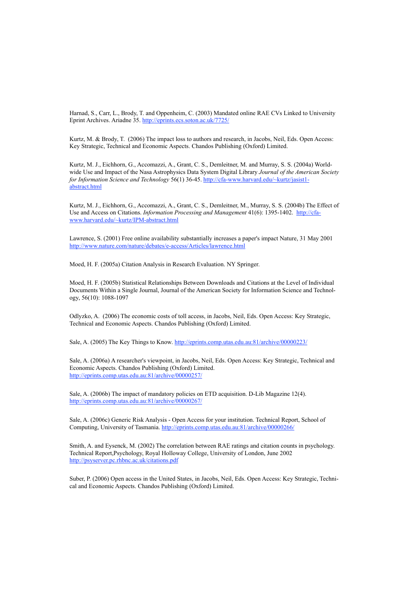Harnad, S., Carr, L., Brody, T. and Oppenheim, C. (2003) Mandated online RAE CVs Linked to University Eprint Archives. Ariadne 35. http://eprints.ecs.soton.ac.uk/7725/

Kurtz, M. & Brody, T. (2006) The impact loss to authors and research, in Jacobs, Neil, Eds. Open Access: Key Strategic, Technical and Economic Aspects. Chandos Publishing (Oxford) Limited.

Kurtz, M. J., Eichhorn, G., Accomazzi, A., Grant, C. S., Demleitner, M. and Murray, S. S. (2004a) Worldwide Use and Impact of the Nasa Astrophysics Data System Digital Library *Journal of the American Society for Information Science and Technology* 56(1) 36-45. http://cfa-www.harvard.edu/~kurtz/jasist1 abstract.html

Kurtz, M. J., Eichhorn, G., Accomazzi, A., Grant, C. S., Demleitner, M., Murray, S. S. (2004b) The Effect of Use and Access on Citations. *Information Processing and Management* 41(6): 1395-1402. http://cfawww.harvard.edu/~kurtz/IPM-abstract.html

Lawrence, S. (2001) Free online availability substantially increases a paper's impact Nature, 31 May 2001 http://www.nature.com/nature/debates/e-access/Articles/lawrence.html

Moed, H. F. (2005a) Citation Analysis in Research Evaluation. NY Springer.

Moed, H. F. (2005b) Statistical Relationships Between Downloads and Citations at the Level of Individual Documents Within a Single Journal, Journal of the American Society for Information Science and Technology, 56(10): 1088-1097

Odlyzko, A. (2006) The economic costs of toll access, in Jacobs, Neil, Eds. Open Access: Key Strategic, Technical and Economic Aspects. Chandos Publishing (Oxford) Limited.

Sale, A. (2005) The Key Things to Know. http://eprints.comp.utas.edu.au:81/archive/00000223/

Sale, A. (2006a) A researcher's viewpoint, in Jacobs, Neil, Eds. Open Access: Key Strategic, Technical and Economic Aspects. Chandos Publishing (Oxford) Limited. http://eprints.comp.utas.edu.au:81/archive/00000257/

Sale, A. (2006b) The impact of mandatory policies on ETD acquisition. D-Lib Magazine 12(4). http://eprints.comp.utas.edu.au:81/archive/00000267/

Sale, A. (2006c) Generic Risk Analysis - Open Access for your institution. Technical Report, School of Computing, University of Tasmania. http://eprints.comp.utas.edu.au:81/archive/00000266/

Smith, A. and Eysenck, M. (2002) The correlation between RAE ratings and citation counts in psychology. Technical Report,Psychology, Royal Holloway College, University of London, June 2002 http://psyserver.pc.rhbnc.ac.uk/citations.pdf

Suber, P. (2006) Open access in the United States, in Jacobs, Neil, Eds. Open Access: Key Strategic, Technical and Economic Aspects. Chandos Publishing (Oxford) Limited.